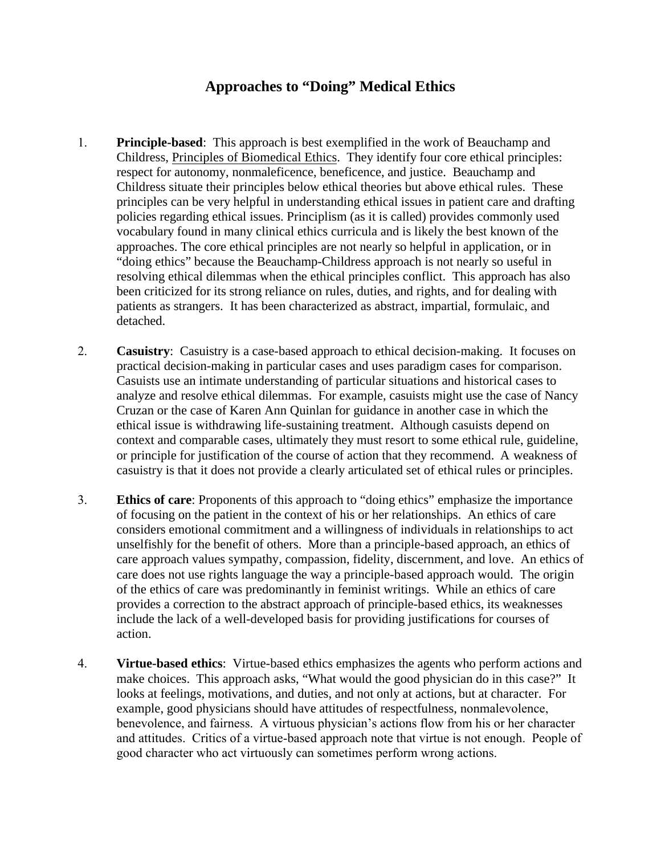## **Approaches to "Doing" Medical Ethics**

- 1. **Principle-based**: This approach is best exemplified in the work of Beauchamp and Childress, Principles of Biomedical Ethics. They identify four core ethical principles: respect for autonomy, nonmaleficence, beneficence, and justice. Beauchamp and Childress situate their principles below ethical theories but above ethical rules. These principles can be very helpful in understanding ethical issues in patient care and drafting policies regarding ethical issues. Principlism (as it is called) provides commonly used vocabulary found in many clinical ethics curricula and is likely the best known of the approaches. The core ethical principles are not nearly so helpful in application, or in "doing ethics" because the Beauchamp-Childress approach is not nearly so useful in resolving ethical dilemmas when the ethical principles conflict. This approach has also been criticized for its strong reliance on rules, duties, and rights, and for dealing with patients as strangers. It has been characterized as abstract, impartial, formulaic, and detached.
- 2. **Casuistry**: Casuistry is a case-based approach to ethical decision-making. It focuses on practical decision-making in particular cases and uses paradigm cases for comparison. Casuists use an intimate understanding of particular situations and historical cases to analyze and resolve ethical dilemmas. For example, casuists might use the case of Nancy Cruzan or the case of Karen Ann Quinlan for guidance in another case in which the ethical issue is withdrawing life-sustaining treatment. Although casuists depend on context and comparable cases, ultimately they must resort to some ethical rule, guideline, or principle for justification of the course of action that they recommend. A weakness of casuistry is that it does not provide a clearly articulated set of ethical rules or principles.
- 3. **Ethics of care**: Proponents of this approach to "doing ethics" emphasize the importance of focusing on the patient in the context of his or her relationships. An ethics of care considers emotional commitment and a willingness of individuals in relationships to act unselfishly for the benefit of others. More than a principle-based approach, an ethics of care approach values sympathy, compassion, fidelity, discernment, and love. An ethics of care does not use rights language the way a principle-based approach would. The origin of the ethics of care was predominantly in feminist writings. While an ethics of care provides a correction to the abstract approach of principle-based ethics, its weaknesses include the lack of a well-developed basis for providing justifications for courses of action.
- 4. **Virtue-based ethics**: Virtue-based ethics emphasizes the agents who perform actions and make choices. This approach asks, "What would the good physician do in this case?" It looks at feelings, motivations, and duties, and not only at actions, but at character. For example, good physicians should have attitudes of respectfulness, nonmalevolence, benevolence, and fairness. A virtuous physician's actions flow from his or her character and attitudes. Critics of a virtue-based approach note that virtue is not enough. People of good character who act virtuously can sometimes perform wrong actions.